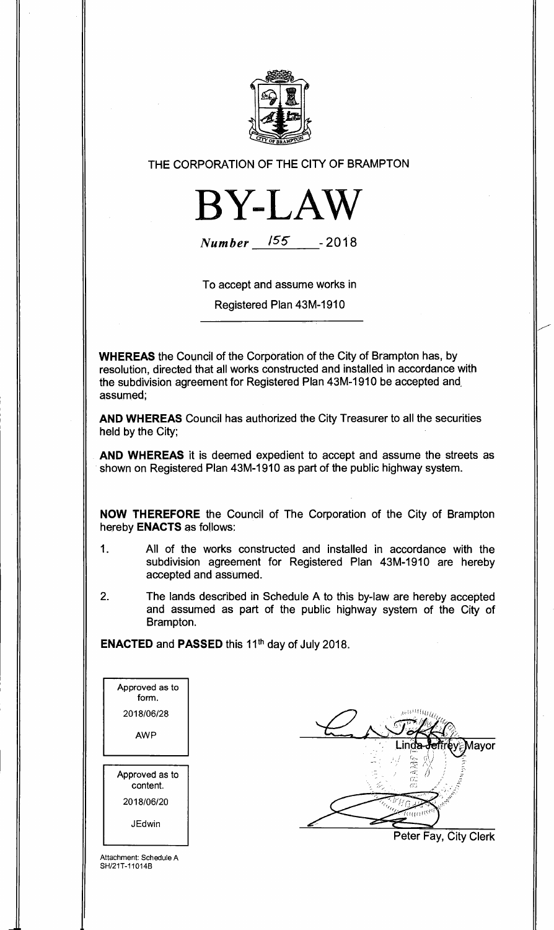

THE CORPORATION OF THE CITY OF BRAMPTON



**Number** 155 - 2018

To accept and assume works in

Registered Plan 43M-1910

**WHEREAS** the Council of the Corporation of the City of Brampton has, by resolution, directed that all works constructed and installed in accordance with the subdivision agreement for Registered Plan 43M-1910 be accepted and. assumed;

**AND WHEREAS** Council has authorized the City Treasurer to all the securities held by the City;

**AND WHEREAS** it is deemed expedient to accept and assume the streets as shown on Registered Plan 43M-1910 as part of the public highway system.

**NOW THEREFORE** the Council of The Corporation of the City of Brampton hereby **ENACTS** as follows:

- 1. All of the works constructed and installed in accordance with the subdivision agreement for Registered Plan 43M-1910 are hereby accepted and assumed.
- 2. The lands described in Schedule A to this by-law are hereby accepted and assumed as part of the public highway system of the City of Brampton.

**ENACTED** and **PASSED** this 11th day of July 2018.

| Approved as to<br>form.    |
|----------------------------|
| 2018/06/28                 |
| AWP                        |
|                            |
|                            |
| Approved as to<br>content. |
| 2018/06/20                 |

∕lavor Peter Fay, City Clerk

Attachment: Schedule A SH/21T-11014B